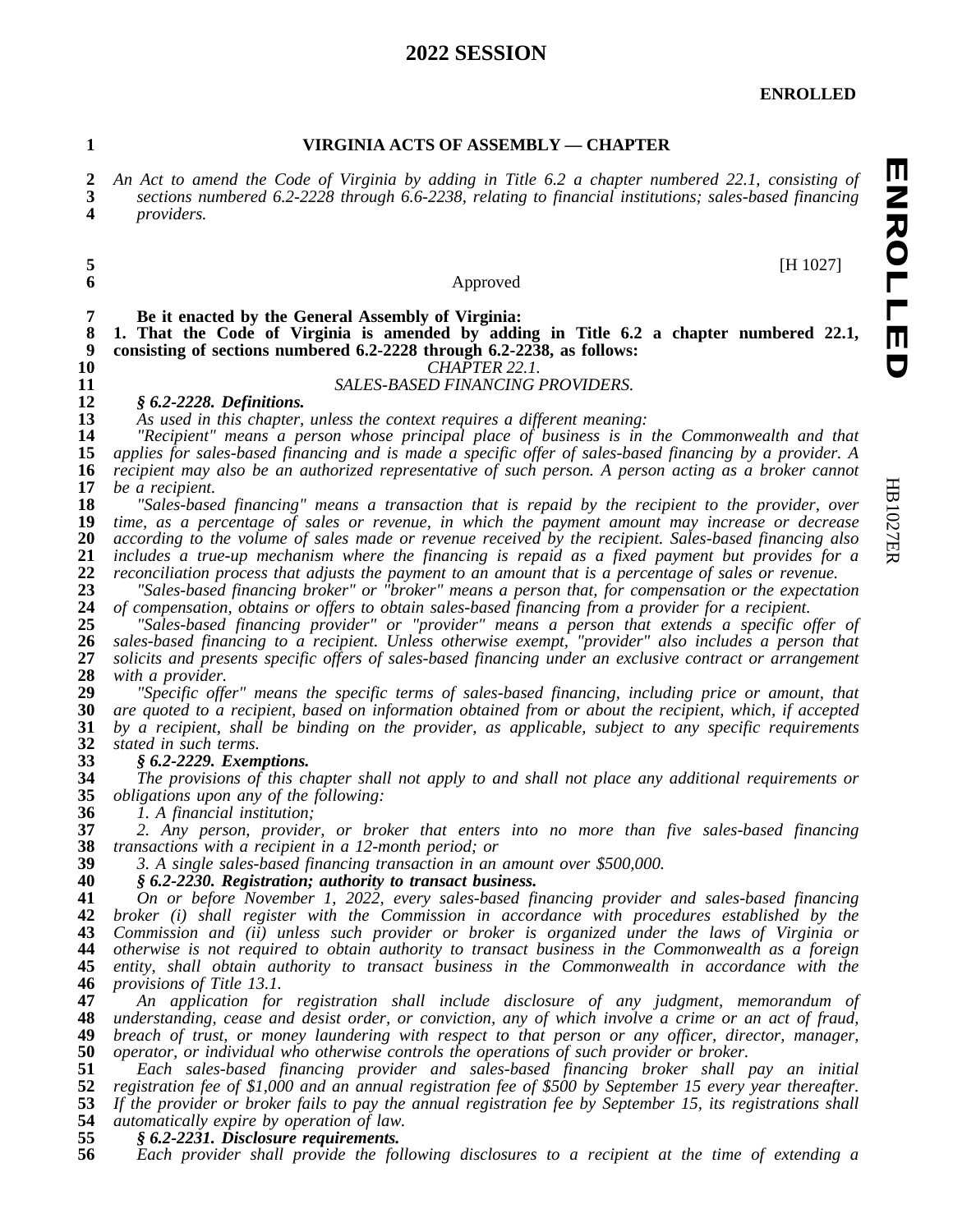### **SESSION**

**ENROLLED**

#### **VIRGINIA ACTS OF ASSEMBLY –– CHAPTER**

2 An Act to amend the Code of Virginia by adding in Title 6.2 a chapter numbered 22.1, consisting of 3 sections numbered 6.2-2228 through 6.6-2238, relating to financial institutions: sales-based financing *sections numbered 6.2-2228 through 6.6-2238, relating to financial institutions; sales-based financing providers.*

#### Approved

[H 1027]

**Be it enacted by the General Assembly of Virginia:**

 **1. That the Code of Virginia is amended by adding in Title 6.2 a chapter numbered 22.1, consisting of sections numbered 6.2-2228 through 6.2-2238, as follows:**

*CHAPTER 22.1.*

### *SALES-BASED FINANCING PROVIDERS.* **12 8 6.2-2228.** Definitions.

## *§ 6.2-2228. Definitions.*

*As used in this chapter, unless the context requires a different meaning:*

 *"Recipient" means a person whose principal place of business is in the Commonwealth and that* 15 applies for sales-based financing and is made a specific offer of sales-based financing by a provider. A 16 recipient may also be an authorized representative of such person. A person acting as a broker cannot recipient may also be an authorized representative of such person. A person acting as a broker cannot *be a recipient.*

 *"Sales-based financing" means a transaction that is repaid by the recipient to the provider, over time, as a percentage of sales or revenue, in which the payment amount may increase or decrease according to the volume of sales made or revenue received by the recipient. Sales-based financing also* 21 includes a true-up mechanism where the financing is repaid as a fixed payment but provides for a<br>22 reconciliation process that adjusts the payment to an amount that is a percentage of sales or revenue. *reconciliation process that adjusts the payment to an amount that is a percentage of sales or revenue.*<br>23 The Sales-based financing broker" or "broker" means a person that, for compensation or the expectation

 *"Sales-based financing broker" or "broker" means a person that, for compensation or the expectation of compensation, obtains or offers to obtain sales-based financing from a provider for a recipient.*

 *"Sales-based financing provider" or "provider" means a person that extends a specific offer of sales-based financing to a recipient. Unless otherwise exempt, "provider" also includes a person that solicits and presents specific offers of sales-based financing under an exclusive contract or arrangement with a provider.*

 *"Specific offer" means the specific terms of sales-based financing, including price or amount, that* 30 are quoted to a recipient, based on information obtained from or about the recipient, which, if accepted<br>31 by a recipient, shall be binding on the provider, as applicable, subject to any specific requirements *by a recipient, shall be binding on the provider, as applicable, subject to any specific requirements stated in such terms.*

# *§ 6.2-2229. Exemptions.*

34 The provisions of this chapter shall not apply to and shall not place any additional requirements or obligations upon any of the following: *obligations upon any of the following:*

*1. A financial institution;*

 *2. Any person, provider, or broker that enters into no more than five sales-based financing transactions with a recipient in a 12-month period; or*

*3. A single sales-based financing transaction in an amount over \$500,000.*

*§ 6.2-2230. Registration; authority to transact business.*

 *On or before November 1, 2022, every sales-based financing provider and sales-based financing broker (i) shall register with the Commission in accordance with procedures established by the Commission and (ii) unless such provider or broker is organized under the laws of Virginia or otherwise is not required to obtain authority to transact business in the Commonwealth as a foreign entity, shall obtain authority to transact business in the Commonwealth in accordance with the provisions of Title 13.1.*

 *An application for registration shall include disclosure of any judgment, memorandum of* 48 understanding, cease and desist order, or conviction, any of which involve a crime or an act of fraud, 49 breach of traval, 49 breach of trust, or money laundering with respect to that person or any officer, director, m *breach of trust, or money laundering with respect to that person or any officer, director, manager, operator, or individual who otherwise controls the operations of such provider or broker.*

 *Each sales-based financing provider and sales-based financing broker shall pay an initial* 52 registration fee of \$1,000 and an annual registration fee of \$500 by September 15 every year thereafter.<br>53 If the provider or broker fails to pay the annual registration fee by September 15, its registrations shall 53 If the provider or broker fails to pay the annual registration fee by September 15, its registrations shall <br>54 automatically expire by operation of law. *automatically expire by operation of law.*

## *§ 6.2-2231. Disclosure requirements.*

*Each provider shall provide the following disclosures to a recipient at the time of extending a*

**ENROLLED**

**ENROLLED**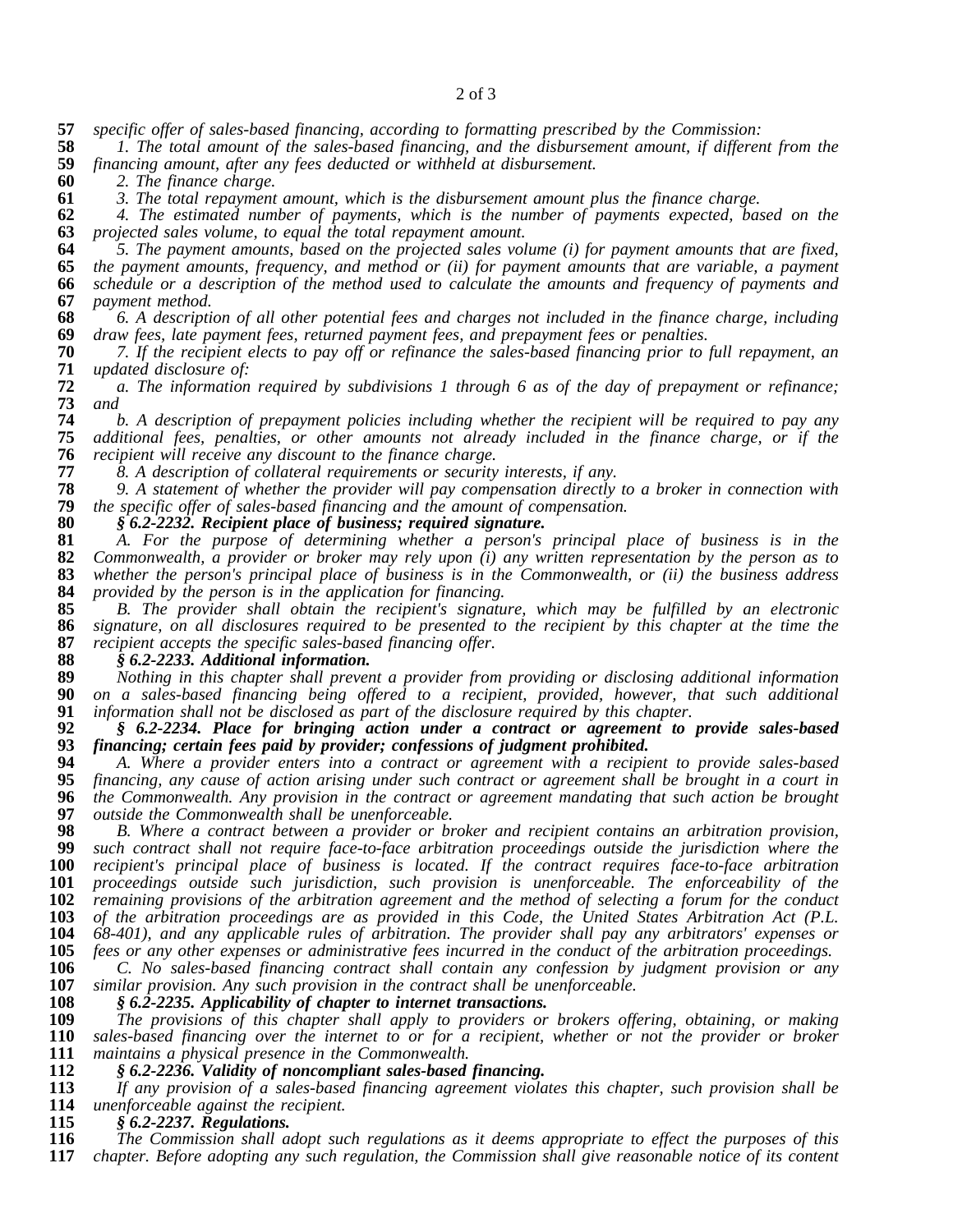#### of 3

*specific offer of sales-based financing, according to formatting prescribed by the Commission:*

 *1. The total amount of the sales-based financing, and the disbursement amount, if different from the financing amount, after any fees deducted or withheld at disbursement.*

*2. The finance charge.*

*3. The total repayment amount, which is the disbursement amount plus the finance charge.*

 *4. The estimated number of payments, which is the number of payments expected, based on the projected sales volume, to equal the total repayment amount.*

5. The payment amounts, based on the projected sales volume (i) for payment amounts that are fixed, *the payment amounts, frequency, and method or (ii) for payment amounts that are variable, a payment* 66 schedule or a description of the method used to calculate the amounts and frequency of payments and payments and payment *payment method.*

68 6. A description of all other potential fees and charges not included in the finance charge, including 69 draw fees, late payment fees, returned payment fees, and prepayment fees or penalties. *draw fees, late payment fees, returned payment fees, and prepayment fees or penalties.*

70 7. If the recipient elects to pay off or refinance the sales-based financing prior to full repayment, an 71 updated disclosure of: *updated disclosure of:*

72  $\alpha$ . The information required by subdivisions 1 through 6 as of the day of prepayment or refinance;<br>73 and *and*

 *b. A description of prepayment policies including whether the recipient will be required to pay any additional fees, penalties, or other amounts not already included in the finance charge, or if the recipient will receive any discount to the finance charge.*

*8. A description of collateral requirements or security interests, if any.*

78 9. A statement of whether the provider will pay compensation directly to a broker in connection with the specific offer of sales-based financing and the amount of compensation. *the specific offer of sales-based financing and the amount of compensation.*

*§ 6.2-2232. Recipient place of business; required signature.*

 *A. For the purpose of determining whether a person's principal place of business is in the* 82 Commonwealth, a provider or broker may rely upon  $(i)$  any written representation by the person as to whether the person's principal place of business is in the Commonwealth, or  $(ii)$  the business address *whether the person's principal place of business is in the Commonwealth, or (ii) the business address provided by the person is in the application for financing.*

 *B. The provider shall obtain the recipient's signature, which may be fulfilled by an electronic* 86 signature, on all disclosures required to be presented to the recipient by this chapter at the time the recipient accepts the specific sales-based financing offer. *recipient accepts the specific sales-based financing offer.*

*§ 6.2-2233. Additional information.*

 *Nothing in this chapter shall prevent a provider from providing or disclosing additional information on a sales-based financing being offered to a recipient, provided, however, that such additional information shall not be disclosed as part of the disclosure required by this chapter.*

 *§ 6.2-2234. Place for bringing action under a contract or agreement to provide sales-based financing; certain fees paid by provider; confessions of judgment prohibited.*

 *A. Where a provider enters into a contract or agreement with a recipient to provide sales-based* 95 financing, any cause of action arising under such contract or agreement shall be brought in a court in<br>96 the Commonwealth. Any provision in the contract or agreement mandating that such action be brought *the Commonwealth. Any provision in the contract or agreement mandating that such action be brought outside the Commonwealth shall be unenforceable.*

 *B. Where a contract between a provider or broker and recipient contains an arbitration provision, such contract shall not require face-to-face arbitration proceedings outside the jurisdiction where the recipient's principal place of business is located. If the contract requires face-to-face arbitration proceedings outside such jurisdiction, such provision is unenforceable. The enforceability of the remaining provisions of the arbitration agreement and the method of selecting a forum for the conduct of the arbitration proceedings are as provided in this Code, the United States Arbitration Act (P.L. 68-401), and any applicable rules of arbitration. The provider shall pay any arbitrators' expenses or*

105 fees or any other expenses or administrative fees incurred in the conduct of the arbitration proceedings.<br>106 C. No sales-based financing contract shall contain any confession by judgment provision or any *C. No sales-based financing contract shall contain any confession by judgment provision or any similar provision. Any such provision in the contract shall be unenforceable.*

*§ 6.2-2235. Applicability of chapter to internet transactions.*

 *The provisions of this chapter shall apply to providers or brokers offering, obtaining, or making* 110 sales-based financing over the internet to or for a recipient, whether or not the provider or broker 111 maintains a physical presence in the Commonwealth. *maintains a physical presence in the Commonwealth.*

# *§ 6.2-2236. Validity of noncompliant sales-based financing.*

 *If any provision of a sales-based financing agreement violates this chapter, such provision shall be* **114** *unenforceable against the recipient.*<br>**115 8 6.2-2237. Regulations.** 

 *§ 6.2-2237. Regulations. The Commission shall adopt such regulations as it deems appropriate to effect the purposes of this chapter. Before adopting any such regulation, the Commission shall give reasonable notice of its content*